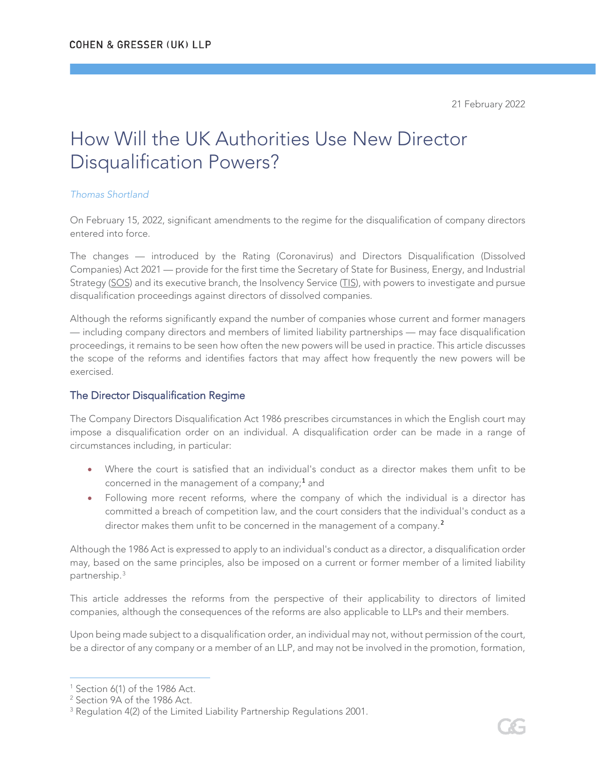# How Will the UK Authorities Use New Director Disqualification Powers?

#### *Thomas Shortland*

On February 15, 2022, significant amendments to the regime for the disqualification of company directors entered into force.

The changes — introduced by the Rating (Coronavirus) and Directors Disqualification (Dissolved Companies) Act 2021 — provide for the first time the Secretary of State for Business, Energy, and Industrial Strategy (SOS) and its executive branch, the Insolvency Service (TIS), with powers to investigate and pursue disqualification proceedings against directors of dissolved companies.

Although the reforms significantly expand the number of companies whose current and former managers — including company directors and members of limited liability partnerships — may face disqualification proceedings, it remains to be seen how often the new powers will be used in practice. This article discusses the scope of the reforms and identifies factors that may affect how frequently the new powers will be exercised.

### The Director Disqualification Regime

The Company Directors Disqualification Act 1986 prescribes circumstances in which the English court may impose a disqualification order on an individual. A disqualification order can be made in a range of circumstances including, in particular:

- Where the court is satisfied that an individual's conduct as a director makes them unfit to be concerned in the management of a company;<sup>[1](#page-0-0)</sup> and
- Following more recent reforms, where the company of which the individual is a director has committed a breach of competition law, and the court considers that the individual's conduct as a director makes them unfit to be concerned in the management of a company.<sup>[2](#page-0-1)</sup>

Although the 1986 Act is expressed to apply to an individual's conduct as a director, a disqualification order may, based on the same principles, also be imposed on a current or former member of a limited liability partnership.[3](#page-0-2)

This article addresses the reforms from the perspective of their applicability to directors of limited companies, although the consequences of the reforms are also applicable to LLPs and their members.

Upon being made subject to a disqualification order, an individual may not, without permission of the court, be a director of any company or a member of an LLP, and may not be involved in the promotion, formation,

<span id="page-0-0"></span> $1$  Section 6(1) of the 1986 Act.

<span id="page-0-1"></span><sup>2</sup> Section 9A of the 1986 Act.

<span id="page-0-2"></span><sup>&</sup>lt;sup>3</sup> Regulation 4(2) of the Limited Liability Partnership Regulations 2001.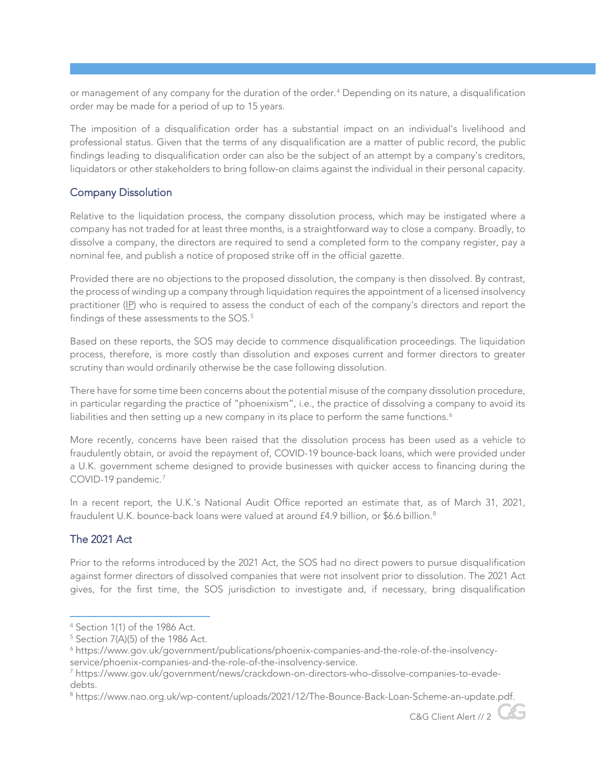or management of any company for the duration of the order.<sup>[4](#page-1-0)</sup> Depending on its nature, a disqualification order may be made for a period of up to 15 years.

The imposition of a disqualification order has a substantial impact on an individual's livelihood and professional status. Given that the terms of any disqualification are a matter of public record, the public findings leading to disqualification order can also be the subject of an attempt by a company's creditors, liquidators or other stakeholders to bring follow-on claims against the individual in their personal capacity.

## Company Dissolution

Relative to the liquidation process, the company dissolution process, which may be instigated where a company has not traded for at least three months, is a straightforward way to close a company. Broadly, to dissolve a company, the directors are required to send a completed form to the company register, pay a nominal fee, and publish a notice of proposed strike off in the official gazette.

Provided there are no objections to the proposed dissolution, the company is then dissolved. By contrast, the process of winding up a company through liquidation requires the appointment of a licensed insolvency practitioner (IP) who is required to assess the conduct of each of the company's directors and report the findings of these assessments to the SOS.<sup>[5](#page-1-1)</sup>

Based on these reports, the SOS may decide to commence disqualification proceedings. The liquidation process, therefore, is more costly than dissolution and exposes current and former directors to greater scrutiny than would ordinarily otherwise be the case following dissolution.

There have for some time been concerns about the potential misuse of the company dissolution procedure, in particular regarding the practice of "phoenixism", i.e., the practice of dissolving a company to avoid its liabilities and then setting up a new company in its place to perform the same functions.<sup>[6](#page-1-2)</sup>

More recently, concerns have been raised that the dissolution process has been used as a vehicle to fraudulently obtain, or avoid the repayment of, COVID-19 bounce-back loans, which were provided under a U.K. government scheme designed to provide businesses with quicker access to financing during the COVID-19 pandemic.<sup>[7](#page-1-3)</sup>

In a recent report, the U.K.'s National Audit Office reported an estimate that, as of March 31, 2021, fraudulent U.K. bounce-back loans were valued at around £4.9 billion, or \$6.6 billion.<sup>[8](#page-1-4)</sup>

# The 2021 Act

Prior to the reforms introduced by the 2021 Act, the SOS had no direct powers to pursue disqualification against former directors of dissolved companies that were not insolvent prior to dissolution. The 2021 Act gives, for the first time, the SOS jurisdiction to investigate and, if necessary, bring disqualification

C&G Client Alert // 2

<span id="page-1-0"></span><sup>4</sup> Section 1(1) of the 1986 Act.

<span id="page-1-1"></span> $5$  Section 7(A)(5) of the 1986 Act.

<span id="page-1-2"></span><sup>6</sup> https://www.gov.uk/government/publications/phoenix-companies-and-the-role-of-the-insolvencyservice/phoenix-companies-and-the-role-of-the-insolvency-service.

<span id="page-1-3"></span><sup>7</sup> https://www.gov.uk/government/news/crackdown-on-directors-who-dissolve-companies-to-evadedebts.

<span id="page-1-4"></span><sup>8</sup> https://www.nao.org.uk/wp-content/uploads/2021/12/The-Bounce-Back-Loan-Scheme-an-update.pdf.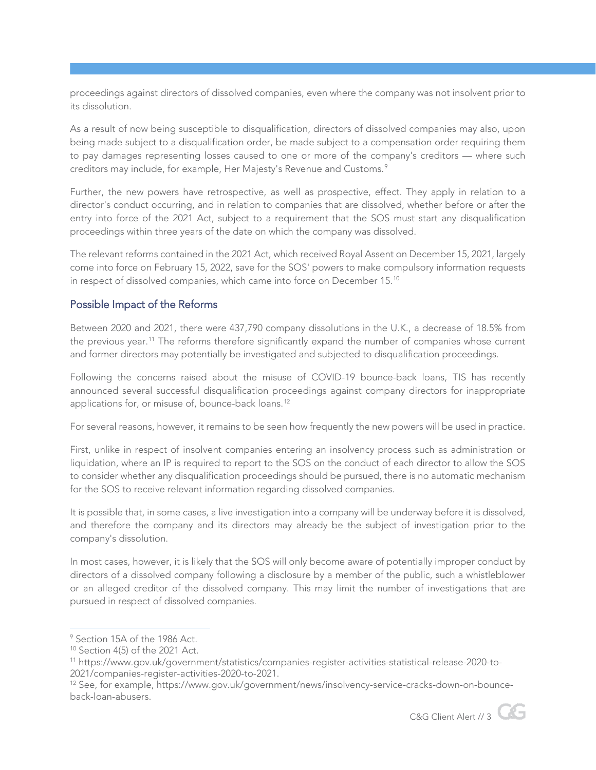proceedings against directors of dissolved companies, even where the company was not insolvent prior to its dissolution.

As a result of now being susceptible to disqualification, directors of dissolved companies may also, upon being made subject to a disqualification order, be made subject to a compensation order requiring them to pay damages representing losses caused to one or more of the company's creditors — where such creditors may include, for example, Her Majesty's Revenue and Customs.<sup>[9](#page-2-0)</sup>

Further, the new powers have retrospective, as well as prospective, effect. They apply in relation to a director's conduct occurring, and in relation to companies that are dissolved, whether before or after the entry into force of the 2021 Act, subject to a requirement that the SOS must start any disqualification proceedings within three years of the date on which the company was dissolved.

The relevant reforms contained in the 2021 Act, which received Royal Assent on December 15, 2021, largely come into force on February 15, 2022, save for the SOS' powers to make compulsory information requests in respect of dissolved companies, which came into force on December 15. [10](#page-2-1)

## Possible Impact of the Reforms

Between 2020 and 2021, there were 437,790 company dissolutions in the U.K., a decrease of 18.5% from the previous year.[11](#page-2-2) The reforms therefore significantly expand the number of companies whose current and former directors may potentially be investigated and subjected to disqualification proceedings.

Following the concerns raised about the misuse of COVID-19 bounce-back loans, TIS has recently announced several successful disqualification proceedings against company directors for inappropriate applications for, or misuse of, bounce-back loans.<sup>[12](#page-2-3)</sup>

For several reasons, however, it remains to be seen how frequently the new powers will be used in practice.

First, unlike in respect of insolvent companies entering an insolvency process such as administration or liquidation, where an IP is required to report to the SOS on the conduct of each director to allow the SOS to consider whether any disqualification proceedings should be pursued, there is no automatic mechanism for the SOS to receive relevant information regarding dissolved companies.

It is possible that, in some cases, a live investigation into a company will be underway before it is dissolved, and therefore the company and its directors may already be the subject of investigation prior to the company's dissolution.

In most cases, however, it is likely that the SOS will only become aware of potentially improper conduct by directors of a dissolved company following a disclosure by a member of the public, such a whistleblower or an alleged creditor of the dissolved company. This may limit the number of investigations that are pursued in respect of dissolved companies.

C&G Client Alert // 3

<span id="page-2-0"></span><sup>9</sup> Section 15A of the 1986 Act.

<span id="page-2-1"></span><sup>10</sup> Section 4(5) of the 2021 Act.

<span id="page-2-2"></span><sup>11</sup> https://www.gov.uk/government/statistics/companies-register-activities-statistical-release-2020-to-2021/companies-register-activities-2020-to-2021.

<span id="page-2-3"></span><sup>12</sup> See, for example, https://www.gov.uk/government/news/insolvency-service-cracks-down-on-bounceback-loan-abusers.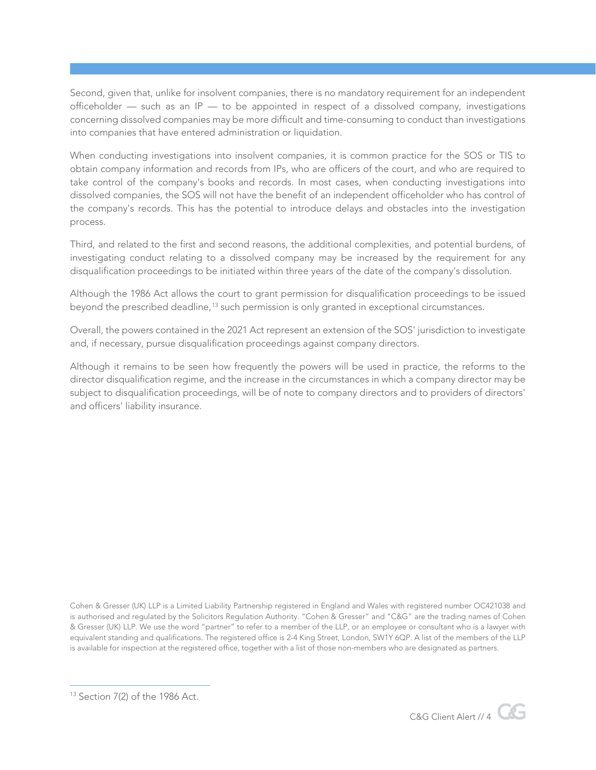Second, given that, unlike for insolvent companies, there is no mandatory requirement for an independent officeholder — such as an IP — to be appointed in respect of a dissolved company, investigations concerning dissolved companies may be more difficult and time-consuming to conduct than investigations into companies that have entered administration or liquidation.

When conducting investigations into insolvent companies, it is common practice for the SOS or TIS to obtain company information and records from IPs, who are officers of the court, and who are required to take control of the company's books and records. In most cases, when conducting investigations into dissolved companies, the SOS will not have the benefit of an independent officeholder who has control of the company's records. This has the potential to introduce delays and obstacles into the investigation process.

Third, and related to the first and second reasons, the additional complexities, and potential burdens, of investigating conduct relating to a dissolved company may be increased by the requirement for any disqualification proceedings to be initiated within three years of the date of the company's dissolution.

Although the 1986 Act allows the court to grant permission for disqualification proceedings to be issued beyond the prescribed deadline,[13](#page-3-0) such permission is only granted in exceptional circumstances.

Overall, the powers contained in the 2021 Act represent an extension of the SOS' jurisdiction to investigate and, if necessary, pursue disqualification proceedings against company directors.

Although it remains to be seen how frequently the powers will be used in practice, the reforms to the director disqualification regime, and the increase in the circumstances in which a company director may be subject to disqualification proceedings, will be of note to company directors and to providers of directors' and officers' liability insurance.

Cohen & Gresser (UK) LLP is a Limited Liability Partnership registered in England and Wales with registered number OC421038 and is authorised and regulated by the Solicitors Regulation Authority. "Cohen & Gresser" and "C&G" are the trading names of Cohen & Gresser (UK) LLP. We use the word "partner" to refer to a member of the LLP, or an employee or consultant who is a lawyer with equivalent standing and qualifications. The registered office is 2-4 King Street, London, SW1Y 6QP. A list of the members of the LLP is available for inspection at the registered office, together with a list of those non-members who are designated as partners.



<span id="page-3-0"></span><sup>13</sup> Section 7(2) of the 1986 Act.